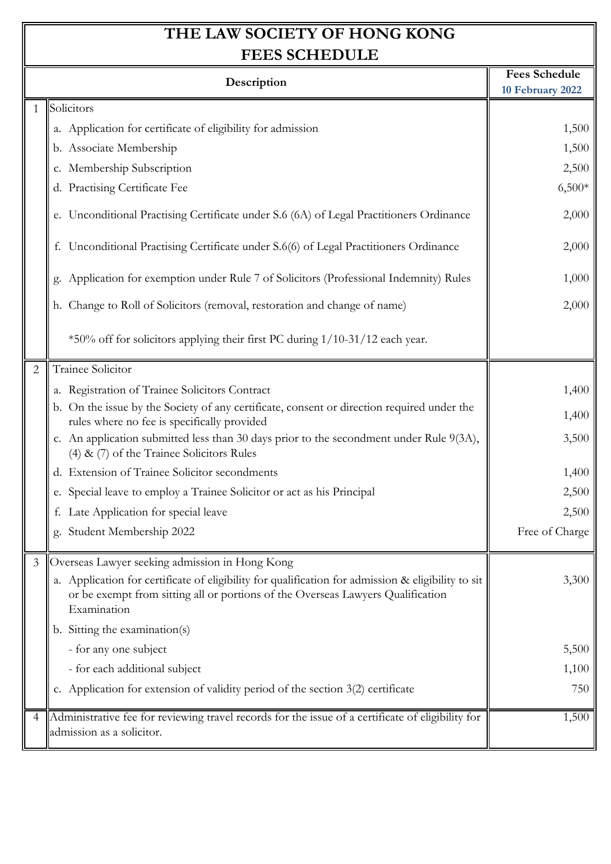| <b>FEES SCHEDULE</b> |                                                                                                                                                                                                      |                      |
|----------------------|------------------------------------------------------------------------------------------------------------------------------------------------------------------------------------------------------|----------------------|
| Description          |                                                                                                                                                                                                      | <b>Fees Schedule</b> |
|                      |                                                                                                                                                                                                      | 10 February 2022     |
| $\mathbf{1}$         | Solicitors                                                                                                                                                                                           |                      |
|                      | a. Application for certificate of eligibility for admission                                                                                                                                          | 1,500                |
|                      | b. Associate Membership                                                                                                                                                                              | 1,500                |
|                      | c. Membership Subscription                                                                                                                                                                           | 2,500                |
|                      | d. Practising Certificate Fee                                                                                                                                                                        | $6,500*$             |
|                      | e. Unconditional Practising Certificate under S.6 (6A) of Legal Practitioners Ordinance                                                                                                              | 2,000                |
|                      | f. Unconditional Practising Certificate under S.6(6) of Legal Practitioners Ordinance                                                                                                                | 2,000                |
|                      | g. Application for exemption under Rule 7 of Solicitors (Professional Indemnity) Rules                                                                                                               | 1,000                |
|                      | h. Change to Roll of Solicitors (removal, restoration and change of name)                                                                                                                            | 2,000                |
|                      | *50% off for solicitors applying their first PC during 1/10-31/12 each year.                                                                                                                         |                      |
| $\overline{2}$       | Trainee Solicitor                                                                                                                                                                                    |                      |
|                      | a. Registration of Trainee Solicitors Contract                                                                                                                                                       | 1,400                |
|                      | b. On the issue by the Society of any certificate, consent or direction required under the<br>rules where no fee is specifically provided                                                            | 1,400                |
|                      | c. An application submitted less than 30 days prior to the secondment under Rule 9(3A),<br>$(4)$ & $(7)$ of the Trainee Solicitors Rules                                                             | 3,500                |
|                      | d. Extension of Trainee Solicitor secondments                                                                                                                                                        | 1,400                |
|                      | e. Special leave to employ a Trainee Solicitor or act as his Principal                                                                                                                               | 2,500                |
|                      | f. Late Application for special leave                                                                                                                                                                | 2,500                |
|                      | g. Student Membership 2022                                                                                                                                                                           | Free of Charge       |
| 3                    | Overseas Lawyer seeking admission in Hong Kong                                                                                                                                                       |                      |
|                      | a. Application for certificate of eligibility for qualification for admission & eligibility to sit<br>or be exempt from sitting all or portions of the Overseas Lawyers Qualification<br>Examination | 3,300                |
|                      | b. Sitting the examination(s)                                                                                                                                                                        |                      |
|                      | - for any one subject                                                                                                                                                                                | 5,500                |
|                      | - for each additional subject                                                                                                                                                                        | 1,100                |
|                      | c. Application for extension of validity period of the section 3(2) certificate                                                                                                                      | 750                  |
| 4                    | Administrative fee for reviewing travel records for the issue of a certificate of eligibility for<br>admission as a solicitor.                                                                       | 1,500                |
|                      |                                                                                                                                                                                                      |                      |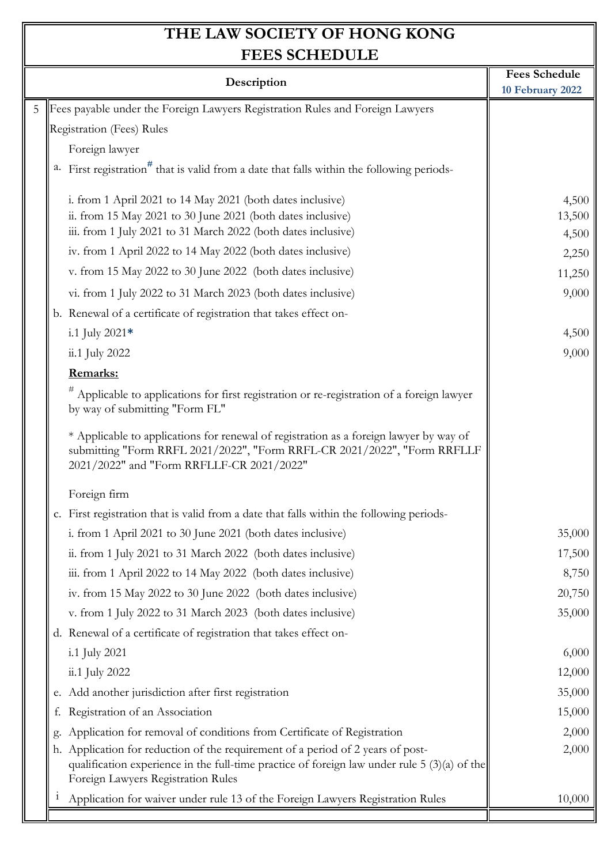| <b>FEES SCHEDULE</b>                                                                                                                                                                                                   |                                          |  |
|------------------------------------------------------------------------------------------------------------------------------------------------------------------------------------------------------------------------|------------------------------------------|--|
| Description                                                                                                                                                                                                            | <b>Fees Schedule</b><br>10 February 2022 |  |
| Fees payable under the Foreign Lawyers Registration Rules and Foreign Lawyers<br>5                                                                                                                                     |                                          |  |
| Registration (Fees) Rules                                                                                                                                                                                              |                                          |  |
| Foreign lawyer                                                                                                                                                                                                         |                                          |  |
| First registration <sup>#</sup> that is valid from a date that falls within the following periods-<br>a.                                                                                                               |                                          |  |
| i. from 1 April 2021 to 14 May 2021 (both dates inclusive)<br>ii. from 15 May 2021 to 30 June 2021 (both dates inclusive)                                                                                              | 4,500<br>13,500                          |  |
| iii. from 1 July 2021 to 31 March 2022 (both dates inclusive)                                                                                                                                                          | 4,500                                    |  |
| iv. from 1 April 2022 to 14 May 2022 (both dates inclusive)                                                                                                                                                            | 2,250                                    |  |
| v. from 15 May 2022 to 30 June 2022 (both dates inclusive)                                                                                                                                                             | 11,250                                   |  |
| vi. from 1 July 2022 to 31 March 2023 (both dates inclusive)                                                                                                                                                           | 9,000                                    |  |
| b. Renewal of a certificate of registration that takes effect on-                                                                                                                                                      |                                          |  |
| i.1 July $2021*$                                                                                                                                                                                                       | 4,500                                    |  |
| ii.1 July 2022                                                                                                                                                                                                         | 9,000                                    |  |
| Remarks:                                                                                                                                                                                                               |                                          |  |
| #<br>Applicable to applications for first registration or re-registration of a foreign lawyer<br>by way of submitting "Form FL"                                                                                        |                                          |  |
| * Applicable to applications for renewal of registration as a foreign lawyer by way of<br>submitting "Form RRFL 2021/2022", "Form RRFL-CR 2021/2022", "Form RRFLLF<br>2021/2022" and "Form RRFLLF-CR 2021/2022"        |                                          |  |
| Foreign firm                                                                                                                                                                                                           |                                          |  |
| c. First registration that is valid from a date that falls within the following periods-                                                                                                                               |                                          |  |
| i. from 1 April 2021 to 30 June 2021 (both dates inclusive)                                                                                                                                                            | 35,000                                   |  |
| ii. from 1 July 2021 to 31 March 2022 (both dates inclusive)                                                                                                                                                           | 17,500                                   |  |
| iii. from 1 April 2022 to 14 May 2022 (both dates inclusive)                                                                                                                                                           | 8,750                                    |  |
| iv. from 15 May 2022 to 30 June 2022 (both dates inclusive)                                                                                                                                                            | 20,750                                   |  |
| v. from 1 July 2022 to 31 March 2023 (both dates inclusive)                                                                                                                                                            | 35,000                                   |  |
| d. Renewal of a certificate of registration that takes effect on-                                                                                                                                                      |                                          |  |
| i.1 July 2021                                                                                                                                                                                                          | 6,000                                    |  |
| ii.1 July 2022                                                                                                                                                                                                         | 12,000                                   |  |
| e. Add another jurisdiction after first registration                                                                                                                                                                   | 35,000                                   |  |
| Registration of an Association<br>f.                                                                                                                                                                                   | 15,000                                   |  |
| Application for removal of conditions from Certificate of Registration<br>g.                                                                                                                                           | 2,000                                    |  |
| h. Application for reduction of the requirement of a period of 2 years of post-<br>qualification experience in the full-time practice of foreign law under rule $5(3)(a)$ of the<br>Foreign Lawyers Registration Rules | 2,000                                    |  |
| Application for waiver under rule 13 of the Foreign Lawyers Registration Rules<br>1                                                                                                                                    | 10,000                                   |  |
|                                                                                                                                                                                                                        |                                          |  |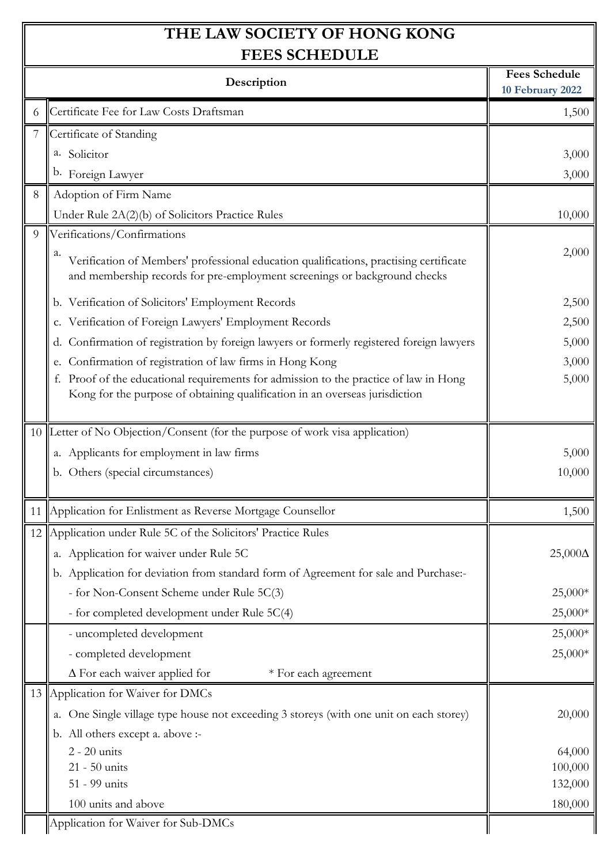$\mathbb I$ 

| FEES SCHEDULE |                                                                                                                                                                           |                                          |
|---------------|---------------------------------------------------------------------------------------------------------------------------------------------------------------------------|------------------------------------------|
|               | Description                                                                                                                                                               | <b>Fees Schedule</b><br>10 February 2022 |
|               | Certificate Fee for Law Costs Draftsman                                                                                                                                   | 1,500                                    |
|               | Certificate of Standing                                                                                                                                                   |                                          |
|               | a. Solicitor                                                                                                                                                              | 3,000                                    |
|               | b. Foreign Lawyer                                                                                                                                                         | 3,000                                    |
| 8             | Adoption of Firm Name                                                                                                                                                     |                                          |
|               | Under Rule 2A(2)(b) of Solicitors Practice Rules                                                                                                                          | 10,000                                   |
| 9             | Verifications/Confirmations                                                                                                                                               |                                          |
|               | а.<br>Verification of Members' professional education qualifications, practising certificate<br>and membership records for pre-employment screenings or background checks | 2,000                                    |
|               | b. Verification of Solicitors' Employment Records                                                                                                                         | 2,500                                    |
|               | c. Verification of Foreign Lawyers' Employment Records                                                                                                                    | 2,500                                    |
|               | d. Confirmation of registration by foreign lawyers or formerly registered foreign lawyers                                                                                 | 5,000                                    |
|               | e. Confirmation of registration of law firms in Hong Kong                                                                                                                 | 3,000                                    |
|               | Proof of the educational requirements for admission to the practice of law in Hong                                                                                        | 5,000                                    |
|               | Kong for the purpose of obtaining qualification in an overseas jurisdiction                                                                                               |                                          |
|               | 10 Letter of No Objection/Consent (for the purpose of work visa application)                                                                                              |                                          |
|               | a. Applicants for employment in law firms                                                                                                                                 | 5,000                                    |
|               | b. Others (special circumstances)                                                                                                                                         | 10,000                                   |
|               |                                                                                                                                                                           |                                          |
|               | 11 Application for Enlistment as Reverse Mortgage Counsellor                                                                                                              | 1,500                                    |
|               | 12 Application under Rule 5C of the Solicitors' Practice Rules                                                                                                            |                                          |
|               | a. Application for waiver under Rule 5C                                                                                                                                   | $25,000\Delta$                           |
|               | b. Application for deviation from standard form of Agreement for sale and Purchase:-                                                                                      |                                          |
|               | - for Non-Consent Scheme under Rule 5C(3)                                                                                                                                 | 25,000*                                  |
|               | - for completed development under Rule 5C(4)                                                                                                                              | 25,000*                                  |
|               | - uncompleted development                                                                                                                                                 | 25,000*                                  |
|               | - completed development                                                                                                                                                   | 25,000*                                  |
|               | $\Delta$ For each waiver applied for<br>* For each agreement                                                                                                              |                                          |
|               | 13 Application for Waiver for DMCs                                                                                                                                        |                                          |
|               | a. One Single village type house not exceeding 3 storeys (with one unit on each storey)                                                                                   | 20,000                                   |
|               | b. All others except a. above :-                                                                                                                                          |                                          |
|               | $2 - 20$ units                                                                                                                                                            | 64,000                                   |
|               | 21 - 50 units                                                                                                                                                             | 100,000                                  |
|               | 51 - 99 units                                                                                                                                                             | 132,000                                  |
|               | 100 units and above                                                                                                                                                       | 180,000                                  |
|               | Application for Waiver for Sub-DMCs                                                                                                                                       |                                          |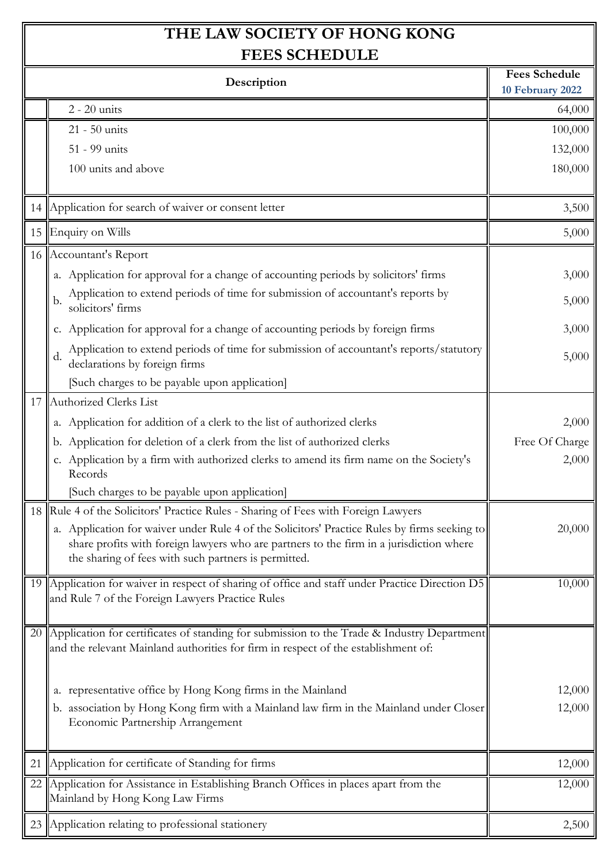| FEES SCHEDULE |                                                                                                                                                                                                                                                 |                                          |
|---------------|-------------------------------------------------------------------------------------------------------------------------------------------------------------------------------------------------------------------------------------------------|------------------------------------------|
| Description   |                                                                                                                                                                                                                                                 | <b>Fees Schedule</b><br>10 February 2022 |
|               | $2 - 20$ units                                                                                                                                                                                                                                  | 64,000                                   |
|               | 21 - 50 units                                                                                                                                                                                                                                   | 100,000                                  |
|               | 51 - 99 units                                                                                                                                                                                                                                   | 132,000                                  |
|               | 100 units and above                                                                                                                                                                                                                             | 180,000                                  |
|               |                                                                                                                                                                                                                                                 |                                          |
|               | 14 Application for search of waiver or consent letter                                                                                                                                                                                           | 3,500                                    |
|               | 15 Enquiry on Wills                                                                                                                                                                                                                             | 5,000                                    |
|               | 16 Accountant's Report                                                                                                                                                                                                                          |                                          |
|               | a. Application for approval for a change of accounting periods by solicitors' firms                                                                                                                                                             | 3,000                                    |
|               | Application to extend periods of time for submission of accountant's reports by<br>b.<br>solicitors' firms                                                                                                                                      | 5,000                                    |
|               | c. Application for approval for a change of accounting periods by foreign firms                                                                                                                                                                 | 3,000                                    |
|               | Application to extend periods of time for submission of accountant's reports/statutory<br>d.<br>declarations by foreign firms                                                                                                                   | 5,000                                    |
|               | [Such charges to be payable upon application]                                                                                                                                                                                                   |                                          |
|               | 17 Authorized Clerks List                                                                                                                                                                                                                       |                                          |
|               | a. Application for addition of a clerk to the list of authorized clerks                                                                                                                                                                         | 2,000                                    |
|               | b. Application for deletion of a clerk from the list of authorized clerks                                                                                                                                                                       | Free Of Charge                           |
|               | c. Application by a firm with authorized clerks to amend its firm name on the Society's<br>Records                                                                                                                                              | 2,000                                    |
|               | [Such charges to be payable upon application]                                                                                                                                                                                                   |                                          |
|               | 18 Rule 4 of the Solicitors' Practice Rules - Sharing of Fees with Foreign Lawyers                                                                                                                                                              |                                          |
|               | a. Application for waiver under Rule 4 of the Solicitors' Practice Rules by firms seeking to<br>share profits with foreign lawyers who are partners to the firm in a jurisdiction where<br>the sharing of fees with such partners is permitted. | 20,000                                   |
|               | 19 Application for waiver in respect of sharing of office and staff under Practice Direction D5<br>and Rule 7 of the Foreign Lawyers Practice Rules                                                                                             | 10,000                                   |
|               | 20 Application for certificates of standing for submission to the Trade & Industry Department<br>and the relevant Mainland authorities for firm in respect of the establishment of:                                                             |                                          |
|               | a. representative office by Hong Kong firms in the Mainland                                                                                                                                                                                     | 12,000                                   |
|               | b. association by Hong Kong firm with a Mainland law firm in the Mainland under Closer                                                                                                                                                          | 12,000                                   |
|               | Economic Partnership Arrangement                                                                                                                                                                                                                |                                          |
| 21            | Application for certificate of Standing for firms                                                                                                                                                                                               | 12,000                                   |
|               | 22 Application for Assistance in Establishing Branch Offices in places apart from the<br>Mainland by Hong Kong Law Firms                                                                                                                        | 12,000                                   |
|               | 23 Application relating to professional stationery                                                                                                                                                                                              | 2,500                                    |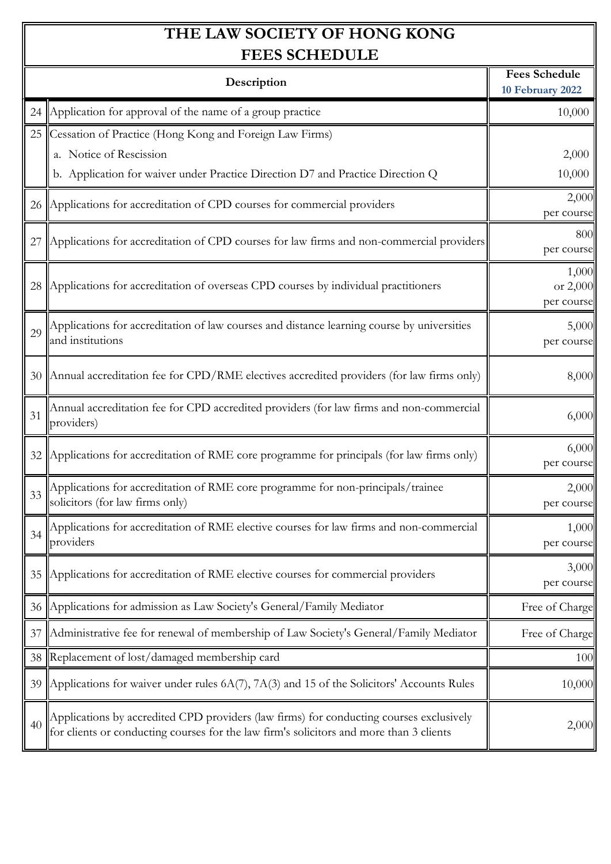$\mathbb I$ 

| FEES SCHEDULE |                                                                                                                                                                                    |                                          |
|---------------|------------------------------------------------------------------------------------------------------------------------------------------------------------------------------------|------------------------------------------|
| Description   |                                                                                                                                                                                    | <b>Fees Schedule</b><br>10 February 2022 |
|               | 24 Application for approval of the name of a group practice                                                                                                                        | 10,000                                   |
|               | 25 Cessation of Practice (Hong Kong and Foreign Law Firms)                                                                                                                         |                                          |
|               | a. Notice of Rescission                                                                                                                                                            | 2,000                                    |
|               | b. Application for waiver under Practice Direction D7 and Practice Direction Q                                                                                                     | 10,000                                   |
|               | 26 Applications for accreditation of CPD courses for commercial providers                                                                                                          | 2,000<br>per course                      |
| 27            | Applications for accreditation of CPD courses for law firms and non-commercial providers                                                                                           | 800<br>per course                        |
|               | 28 Applications for accreditation of overseas CPD courses by individual practitioners                                                                                              | 1,000<br>or 2,000<br>per course          |
| 29            | Applications for accreditation of law courses and distance learning course by universities<br>and institutions                                                                     | 5,000<br>per course                      |
|               | 30 Annual accreditation fee for CPD/RME electives accredited providers (for law firms only)                                                                                        | 8,000                                    |
| 31            | Annual accreditation fee for CPD accredited providers (for law firms and non-commercial<br>providers)                                                                              | 6,000                                    |
| 32            | Applications for accreditation of RME core programme for principals (for law firms only)                                                                                           | 6,000<br>per course                      |
| 33            | Applications for accreditation of RME core programme for non-principals/trainee<br>solicitors (for law firms only)                                                                 | 2,000<br>per course                      |
|               | Applications for accreditation of RME elective courses for law firms and non-commercial<br>providers                                                                               | 1,000<br>per course                      |
| 35            | Applications for accreditation of RME elective courses for commercial providers                                                                                                    | 3,000<br>per course                      |
|               | 36 Applications for admission as Law Society's General/Family Mediator                                                                                                             | Free of Charge                           |
| 37            | Administrative fee for renewal of membership of Law Society's General/Family Mediator                                                                                              | Free of Charge                           |
|               | 38 Replacement of lost/damaged membership card                                                                                                                                     | 100                                      |
| 39            | Applications for waiver under rules $6A(7)$ , $7A(3)$ and 15 of the Solicitors' Accounts Rules                                                                                     | 10,000                                   |
| 40            | Applications by accredited CPD providers (law firms) for conducting courses exclusively<br>for clients or conducting courses for the law firm's solicitors and more than 3 clients | 2,000                                    |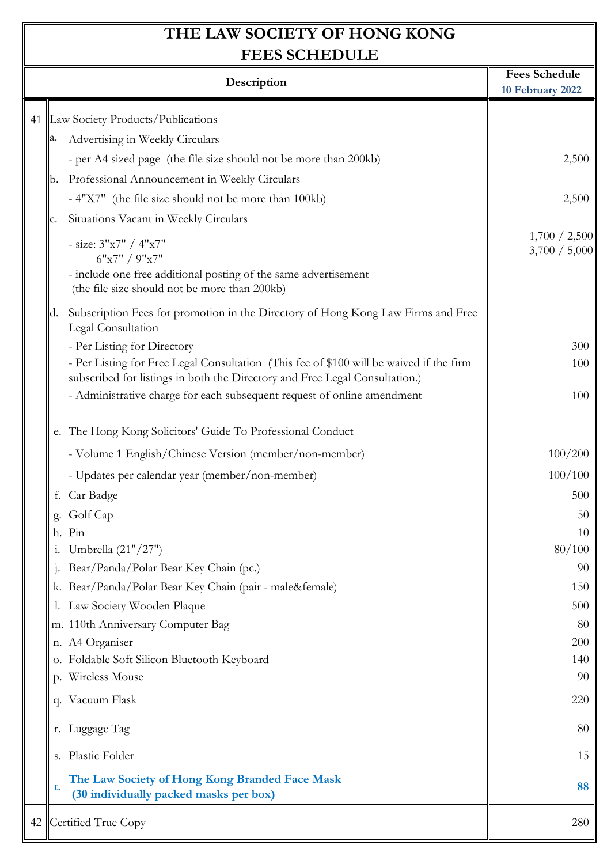| FEES SCHEDULE |                                                                                                                                                                        |                                          |
|---------------|------------------------------------------------------------------------------------------------------------------------------------------------------------------------|------------------------------------------|
|               | Description                                                                                                                                                            | <b>Fees Schedule</b><br>10 February 2022 |
|               |                                                                                                                                                                        |                                          |
|               | 41 Law Society Products/Publications                                                                                                                                   |                                          |
|               | Advertising in Weekly Circulars                                                                                                                                        |                                          |
|               | - per A4 sized page (the file size should not be more than 200kb)                                                                                                      | 2,500                                    |
|               | Professional Announcement in Weekly Circulars<br>b.                                                                                                                    |                                          |
|               | - 4"X7" (the file size should not be more than 100kb)                                                                                                                  | 2,500                                    |
|               | Situations Vacant in Weekly Circulars<br>c.                                                                                                                            |                                          |
|               | - size: $3"x7" / 4"x7"$<br>6"x7" / 9"x7"                                                                                                                               | 1,700 / 2,500<br>3,700 / 5,000           |
|               | - include one free additional posting of the same advertisement<br>(the file size should not be more than 200kb)                                                       |                                          |
|               | Subscription Fees for promotion in the Directory of Hong Kong Law Firms and Free<br>d.<br>Legal Consultation                                                           |                                          |
|               | - Per Listing for Directory                                                                                                                                            | 300                                      |
|               | - Per Listing for Free Legal Consultation (This fee of \$100 will be waived if the firm<br>subscribed for listings in both the Directory and Free Legal Consultation.) | 100                                      |
|               | - Administrative charge for each subsequent request of online amendment                                                                                                | 100                                      |
|               | e. The Hong Kong Solicitors' Guide To Professional Conduct                                                                                                             |                                          |
|               | - Volume 1 English/Chinese Version (member/non-member)                                                                                                                 | 100/200                                  |
|               | - Updates per calendar year (member/non-member)                                                                                                                        | 100/100                                  |
|               | f. Car Badge                                                                                                                                                           | 500                                      |
|               | g. Golf Cap                                                                                                                                                            | 50                                       |
|               | h. Pin                                                                                                                                                                 | 10                                       |
|               | Umbrella (21"/27")<br>1.                                                                                                                                               | 80/100                                   |
|               | Bear/Panda/Polar Bear Key Chain (pc.)                                                                                                                                  | 90                                       |
|               | k. Bear/Panda/Polar Bear Key Chain (pair - male♀)                                                                                                                      | 150                                      |
|               | Law Society Wooden Plaque                                                                                                                                              | 500                                      |
|               | m. 110th Anniversary Computer Bag                                                                                                                                      | 80                                       |
|               | n. A4 Organiser                                                                                                                                                        | 200                                      |
|               | o. Foldable Soft Silicon Bluetooth Keyboard                                                                                                                            | 140                                      |
|               | p. Wireless Mouse                                                                                                                                                      | 90                                       |
|               | q. Vacuum Flask                                                                                                                                                        | 220                                      |
|               | r. Luggage Tag                                                                                                                                                         | 80                                       |
|               | s. Plastic Folder                                                                                                                                                      | 15                                       |
|               | The Law Society of Hong Kong Branded Face Mask<br>t.<br>(30 individually packed masks per box)                                                                         | 88                                       |
|               | 42 Certified True Copy                                                                                                                                                 | 280                                      |